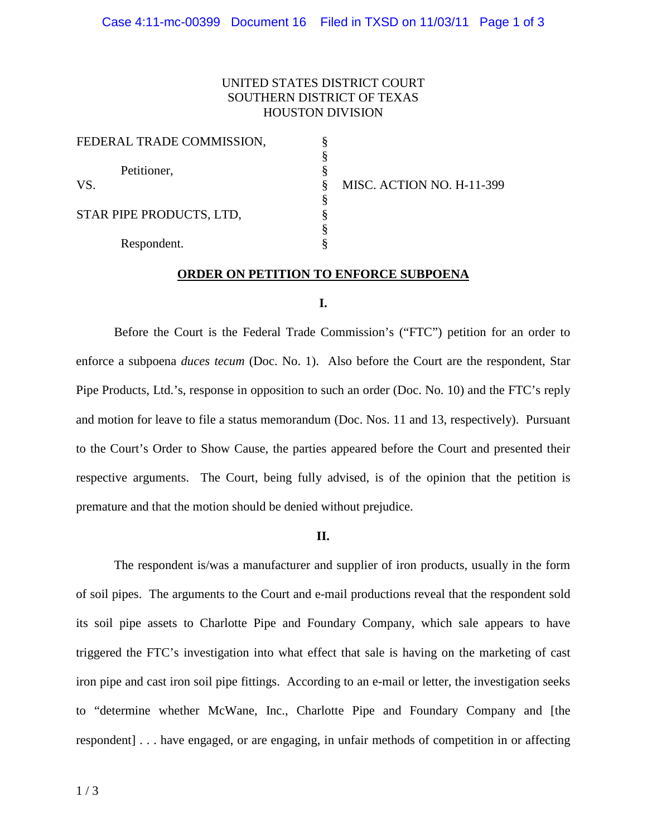# UNITED STATES DISTRICT COURT SOUTHERN DISTRICT OF TEXAS HOUSTON DIVISION

| FEDERAL TRADE COMMISSION, |  |
|---------------------------|--|
|                           |  |
| Petitioner,               |  |
| VS.                       |  |
| STAR PIPE PRODUCTS, LTD,  |  |
|                           |  |
|                           |  |
| Respondent.               |  |

MISC. ACTION NO. H-11-399

# **ORDER ON PETITION TO ENFORCE SUBPOENA**

### **I.**

 Before the Court is the Federal Trade Commission's ("FTC") petition for an order to enforce a subpoena *duces tecum* (Doc. No. 1). Also before the Court are the respondent, Star Pipe Products, Ltd.'s, response in opposition to such an order (Doc. No. 10) and the FTC's reply and motion for leave to file a status memorandum (Doc. Nos. 11 and 13, respectively). Pursuant to the Court's Order to Show Cause, the parties appeared before the Court and presented their respective arguments. The Court, being fully advised, is of the opinion that the petition is premature and that the motion should be denied without prejudice.

### **II.**

 The respondent is/was a manufacturer and supplier of iron products, usually in the form of soil pipes. The arguments to the Court and e-mail productions reveal that the respondent sold its soil pipe assets to Charlotte Pipe and Foundary Company, which sale appears to have triggered the FTC's investigation into what effect that sale is having on the marketing of cast iron pipe and cast iron soil pipe fittings. According to an e-mail or letter, the investigation seeks to "determine whether McWane, Inc., Charlotte Pipe and Foundary Company and [the respondent] . . . have engaged, or are engaging, in unfair methods of competition in or affecting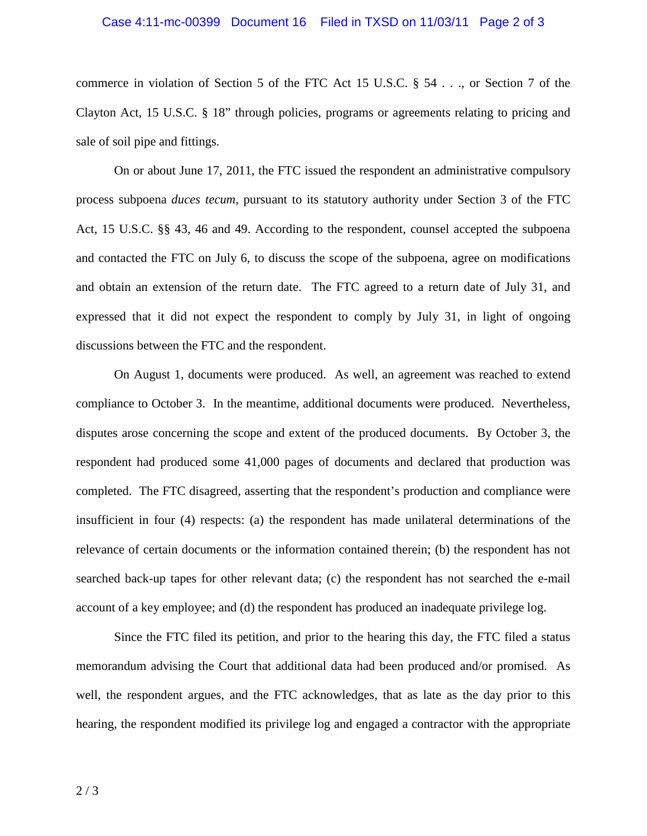### Case 4:11-mc-00399 Document 16 Filed in TXSD on 11/03/11 Page 2 of 3

 commerce in violation of Section 5 of the FTC Act 15 U.S.C. § 54 . . ., or Section 7 of the Clayton Act, 15 U.S.C. § 18" through policies, programs or agreements relating to pricing and sale of soil pipe and fittings.

 process subpoena *duces tecum*, pursuant to its statutory authority under Section 3 of the FTC Act, 15 U.S.C. §§ 43, 46 and 49. According to the respondent, counsel accepted the subpoena and contacted the FTC on July 6, to discuss the scope of the subpoena, agree on modifications and obtain an extension of the return date. The FTC agreed to a return date of July 31, and expressed that it did not expect the respondent to comply by July 31, in light of ongoing discussions between the FTC and the respondent. On or about June 17, 2011, the FTC issued the respondent an administrative compulsory

 compliance to October 3. In the meantime, additional documents were produced. Nevertheless, disputes arose concerning the scope and extent of the produced documents. By October 3, the respondent had produced some 41,000 pages of documents and declared that production was completed. The FTC disagreed, asserting that the respondent's production and compliance were insufficient in four (4) respects: (a) the respondent has made unilateral determinations of the relevance of certain documents or the information contained therein; (b) the respondent has not searched back-up tapes for other relevant data; (c) the respondent has not searched the e-mail account of a key employee; and (d) the respondent has produced an inadequate privilege log. On August 1, documents were produced. As well, an agreement was reached to extend

 memorandum advising the Court that additional data had been produced and/or promised. As well, the respondent argues, and the FTC acknowledges, that as late as the day prior to this hearing, the respondent modified its privilege log and engaged a contractor with the appropriate Since the FTC filed its petition, and prior to the hearing this day, the FTC filed a status